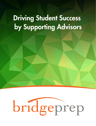# Driving Student Success by Supporting Advisors

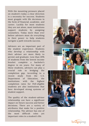With the mounting pressure placed on student's today a clear direction is a necessity for success. Students must grapple with life decisions in the form of financial, academic, and career. Luckily for most students they are not alone, most institutions support students by assigning counselors. Today more than ever before advisors must do everything in their power to help students navigate a path towards success.

Advisors are an important part of the student experience. Students who develop a relationship with their advisor are more likely to persist and graduate. Less than 20% of students from the lowest income bracket complete a bachelor's degree in six years. For many of these students, advisors can play a crucial role in bridging the completion gap. According to a recent study from the U.S. Department of Education, the institutions with the highest completion rates for Pell-eligible students are also institutions that have developed strong systems of student support.

The quality of the student-advisor relationship can have a significant impact on future success and better decisions. There are a variety of attributes that make for a positive relationship. The advisor has one of the most difficult roles yet important roles in a student's life.



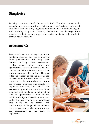### *Simplicity*

Advising resources should be easy to find. If students must wade through pages of irrelevant material or a confusing website to get what they need, they are likely to give up and may be less inclined to engage with advising in person. Instead, institutions can leverage their website, student portals, apps, and social media to help students answer basic questions.

#### *Assessments*

Assessments are a great way to generate feedback students can use to improve their performance and help with decision making. Often assessment results reveal blind spots and opportunities that the student has not considered. This discovery saves time and uncovers possible options. The goal is for the student to use the information to make more informed decisions. This is great news but often the next step in the process produces one simple yet important question, "now what"? The assessment provides a one-dimensional snapshot that needs to be followed up with an opportunity to dive deeper, build knowledge and establish important skills. The assessment is a hypothesis that needs to be tested and continuously challenge. Often advisors use assessments as the solution when the assessment is the start of exploration.



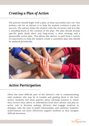## *Creating a Plan of Action*

The journey should begin with a plan, at least successful one's do. One primary role for an advisor is to help the student architect a plan for success. The advisor helps the student with the structure and acts like a sounding board in the creation of the plan. The plan should include specific goals (both short and long-term), a clear strategy and a measurable action plan. This allows the advisor to pull from a variety of experiences to help the student create a customize plan that should be updated periodically.



#### *Active Participation*

Often the most difficult part of the advisor's role is communicating with students who may be in trouble and guiding them to the best action. Students feel most positive about advising sessions in which they receive clear advice or information from their advisor and play an active role in decision making. Advisors that engage students in dialogue, take the time to build relationships, and celebrate students' achievements can more effectively support students as they navigate difficult decisions.